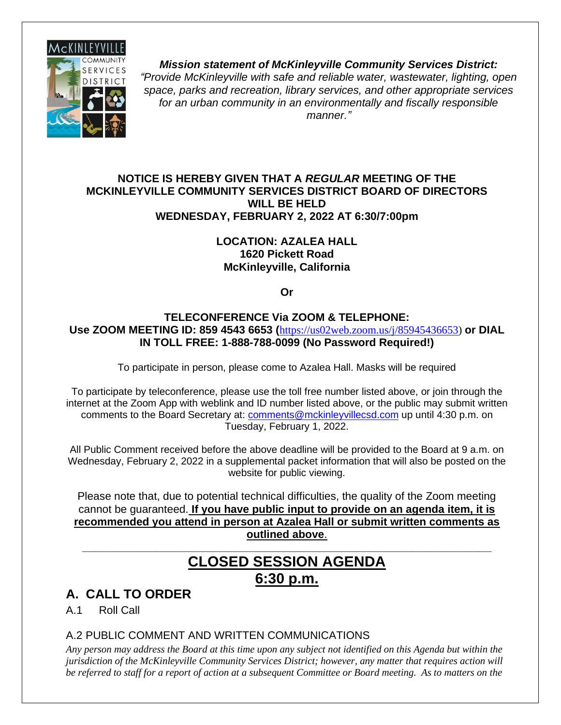

*Mission statement of McKinleyville Community Services District: "Provide McKinleyville with safe and reliable water, wastewater, lighting, open space, parks and recreation, library services, and other appropriate services for an urban community in an environmentally and fiscally responsible manner."*

#### **NOTICE IS HEREBY GIVEN THAT A** *REGULAR* **MEETING OF THE MCKINLEYVILLE COMMUNITY SERVICES DISTRICT BOARD OF DIRECTORS WILL BE HELD WEDNESDAY, FEBRUARY 2, 2022 AT 6:30/7:00pm**

#### **LOCATION: AZALEA HALL 1620 Pickett Road McKinleyville, California**

**Or**

#### **TELECONFERENCE Via ZOOM & TELEPHONE: Use ZOOM MEETING ID: 859 4543 6653 (**[https://us02web.zoom.us/j/85945436653\)](https://us02web.zoom.us/j/85945436653) **or DIAL IN TOLL FREE: 1-888-788-0099 (No Password Required!)**

To participate in person, please come to Azalea Hall. Masks will be required

To participate by teleconference, please use the toll free number listed above, or join through the internet at the Zoom App with weblink and ID number listed above, or the public may submit written comments to the Board Secretary at: [comments@mckinleyvillecsd.com](mailto:contacts@mckinleyvillecsd.com) up until 4:30 p.m. on Tuesday, February 1, 2022.

All Public Comment received before the above deadline will be provided to the Board at 9 a.m. on Wednesday, February 2, 2022 in a supplemental packet information that will also be posted on the website for public viewing.

Please note that, due to potential technical difficulties, the quality of the Zoom meeting cannot be guaranteed. **If you have public input to provide on an agenda item, it is recommended you attend in person at Azalea Hall or submit written comments as outlined above**.

# **CLOSED SESSION AGENDA 6:30 p.m.**

**\_\_\_\_\_\_\_\_\_\_\_\_\_\_\_\_\_\_\_\_\_\_\_\_\_\_\_\_\_\_\_\_\_\_\_\_\_\_\_\_\_\_\_\_\_\_\_\_\_\_\_\_\_\_\_\_\_\_\_\_\_\_\_\_\_\_\_**

## **A. CALL TO ORDER**

A.1 Roll Call

### A.2 PUBLIC COMMENT AND WRITTEN COMMUNICATIONS

*Any person may address the Board at this time upon any subject not identified on this Agenda but within the jurisdiction of the McKinleyville Community Services District; however, any matter that requires action will be referred to staff for a report of action at a subsequent Committee or Board meeting. As to matters on the*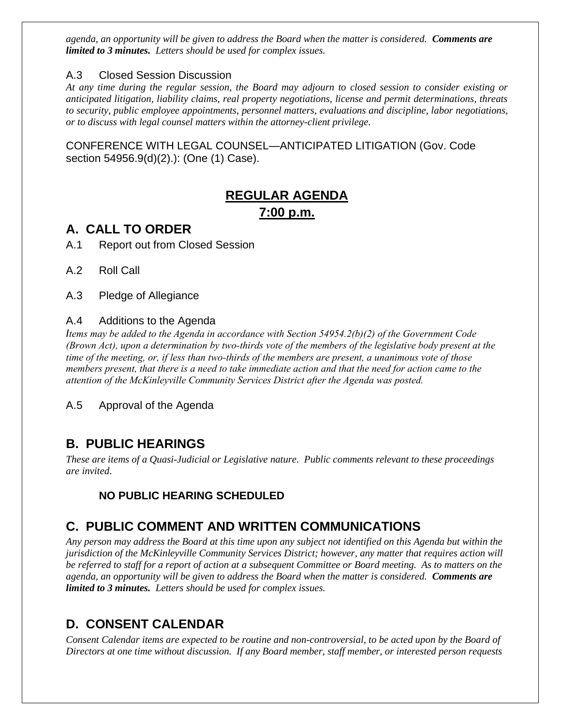*agenda, an opportunity will be given to address the Board when the matter is considered. Comments are limited to 3 minutes. Letters should be used for complex issues.*

#### A.3 Closed Session Discussion

*At any time during the regular session, the Board may adjourn to closed session to consider existing or anticipated litigation, liability claims, real property negotiations, license and permit determinations, threats to security, public employee appointments, personnel matters, evaluations and discipline, labor negotiations, or to discuss with legal counsel matters within the attorney-client privilege.*

CONFERENCE WITH LEGAL COUNSEL—ANTICIPATED LITIGATION (Gov. Code section 54956.9(d)(2).): (One (1) Case).

## **REGULAR AGENDA 7:00 p.m.**

### **A. CALL TO ORDER**

A.1 Report out from Closed Session

A.2 Roll Call

A.3 Pledge of Allegiance

#### A.4 Additions to the Agenda

*Items may be added to the Agenda in accordance with Section 54954.2(b)(2) of the Government Code (Brown Act), upon a determination by two-thirds vote of the members of the legislative body present at the time of the meeting, or, if less than two-thirds of the members are present, a unanimous vote of those members present, that there is a need to take immediate action and that the need for action came to the attention of the McKinleyville Community Services District after the Agenda was posted.* 

A.5 Approval of the Agenda

### **B. PUBLIC HEARINGS**

*These are items of a Quasi-Judicial or Legislative nature. Public comments relevant to these proceedings are invited*.

### **NO PUBLIC HEARING SCHEDULED**

### **C. PUBLIC COMMENT AND WRITTEN COMMUNICATIONS**

*Any person may address the Board at this time upon any subject not identified on this Agenda but within the jurisdiction of the McKinleyville Community Services District; however, any matter that requires action will be referred to staff for a report of action at a subsequent Committee or Board meeting. As to matters on the agenda, an opportunity will be given to address the Board when the matter is considered. Comments are limited to 3 minutes. Letters should be used for complex issues.*

## **D. CONSENT CALENDAR**

*Consent Calendar items are expected to be routine and non-controversial, to be acted upon by the Board of Directors at one time without discussion. If any Board member, staff member, or interested person requests*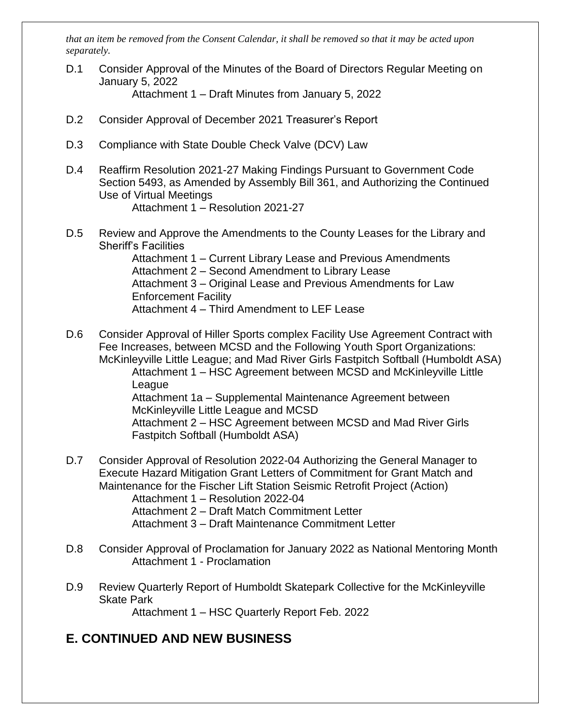*that an item be removed from the Consent Calendar, it shall be removed so that it may be acted upon separately.*

D.1 Consider Approval of the Minutes of the Board of Directors Regular Meeting on January 5, 2022

Attachment 1 – Draft Minutes from January 5, 2022

- D.2 Consider Approval of December 2021 Treasurer's Report
- D.3 Compliance with State Double Check Valve (DCV) Law
- D.4 Reaffirm Resolution 2021-27 Making Findings Pursuant to Government Code Section 5493, as Amended by Assembly Bill 361, and Authorizing the Continued Use of Virtual Meetings Attachment 1 – Resolution 2021-27
- D.5 Review and Approve the Amendments to the County Leases for the Library and Sheriff's Facilities

Attachment 1 – Current Library Lease and Previous Amendments Attachment 2 – Second Amendment to Library Lease Attachment 3 – Original Lease and Previous Amendments for Law Enforcement Facility Attachment 4 – Third Amendment to LEF Lease

D.6 Consider Approval of Hiller Sports complex Facility Use Agreement Contract with Fee Increases, between MCSD and the Following Youth Sport Organizations: McKinleyville Little League; and Mad River Girls Fastpitch Softball (Humboldt ASA) Attachment 1 – HSC Agreement between MCSD and McKinleyville Little League Attachment 1a – Supplemental Maintenance Agreement between McKinleyville Little League and MCSD Attachment 2 – HSC Agreement between MCSD and Mad River Girls Fastpitch Softball (Humboldt ASA)

D.7 Consider Approval of Resolution 2022-04 Authorizing the General Manager to Execute Hazard Mitigation Grant Letters of Commitment for Grant Match and Maintenance for the Fischer Lift Station Seismic Retrofit Project (Action)

Attachment 1 – Resolution 2022-04

Attachment 2 – Draft Match Commitment Letter

- Attachment 3 Draft Maintenance Commitment Letter
- D.8 Consider Approval of Proclamation for January 2022 as National Mentoring Month Attachment 1 - Proclamation
- D.9 Review Quarterly Report of Humboldt Skatepark Collective for the McKinleyville Skate Park

Attachment 1 – HSC Quarterly Report Feb. 2022

### **E. CONTINUED AND NEW BUSINESS**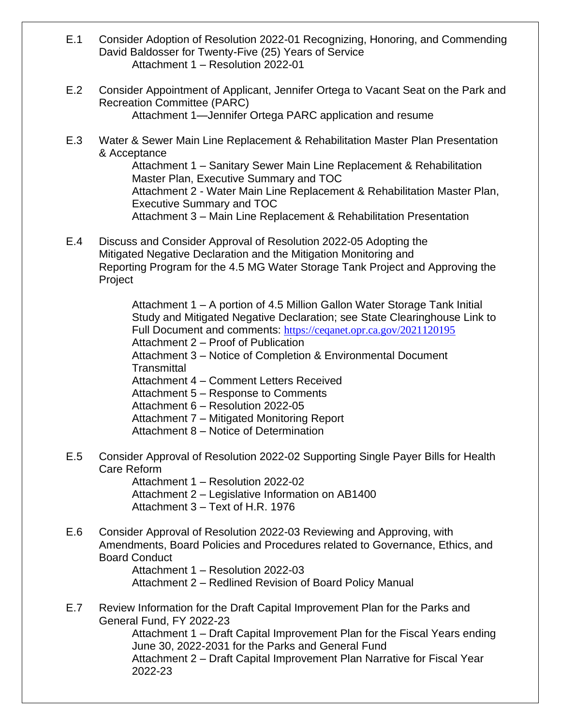- E.1 Consider Adoption of Resolution 2022-01 Recognizing, Honoring, and Commending David Baldosser for Twenty-Five (25) Years of Service Attachment 1 – Resolution 2022-01
- E.2 Consider Appointment of Applicant, Jennifer Ortega to Vacant Seat on the Park and Recreation Committee (PARC) Attachment 1—Jennifer Ortega PARC application and resume
- E.3 Water & Sewer Main Line Replacement & Rehabilitation Master Plan Presentation & Acceptance

Attachment 1 – Sanitary Sewer Main Line Replacement & Rehabilitation Master Plan, Executive Summary and TOC Attachment 2 - Water Main Line Replacement & Rehabilitation Master Plan, Executive Summary and TOC Attachment 3 – Main Line Replacement & Rehabilitation Presentation

E.4 Discuss and Consider Approval of Resolution 2022-05 Adopting the Mitigated Negative Declaration and the Mitigation Monitoring and Reporting Program for the 4.5 MG Water Storage Tank Project and Approving the Project

> Attachment 1 – A portion of 4.5 Million Gallon Water Storage Tank Initial Study and Mitigated Negative Declaration; see State Clearinghouse Link to Full Document and comments: <https://ceqanet.opr.ca.gov/2021120195> Attachment 2 – Proof of Publication

Attachment 3 – Notice of Completion & Environmental Document

**Transmittal** 

- Attachment 4 Comment Letters Received
- Attachment 5 Response to Comments
- Attachment 6 Resolution 2022-05
- Attachment 7 Mitigated Monitoring Report
- Attachment 8 Notice of Determination
- E.5 Consider Approval of Resolution 2022-02 Supporting Single Payer Bills for Health Care Reform

Attachment 1 – Resolution 2022-02

- Attachment 2 Legislative Information on AB1400
- Attachment 3 Text of H.R. 1976
- E.6 Consider Approval of Resolution 2022-03 Reviewing and Approving, with Amendments, Board Policies and Procedures related to Governance, Ethics, and Board Conduct

Attachment 1 – Resolution 2022-03

Attachment 2 – Redlined Revision of Board Policy Manual

E.7 Review Information for the Draft Capital Improvement Plan for the Parks and General Fund, FY 2022-23

Attachment 1 – Draft Capital Improvement Plan for the Fiscal Years ending June 30, 2022-2031 for the Parks and General Fund

Attachment 2 – Draft Capital Improvement Plan Narrative for Fiscal Year 2022-23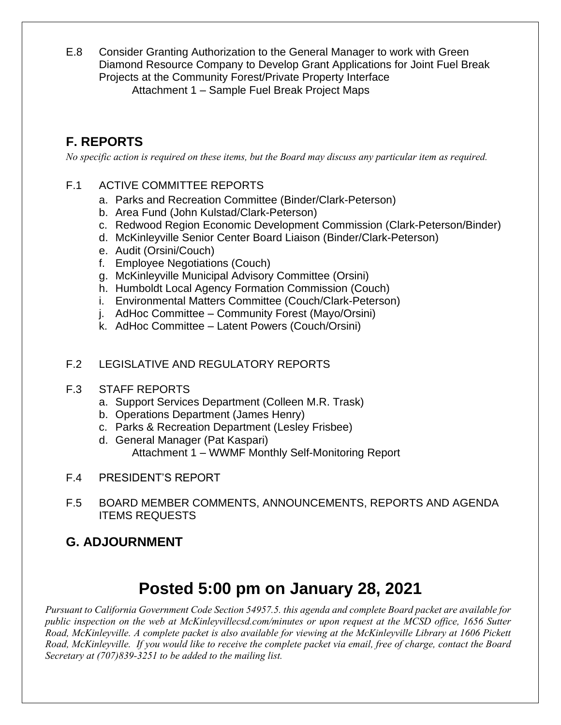E.8 Consider Granting Authorization to the General Manager to work with Green Diamond Resource Company to Develop Grant Applications for Joint Fuel Break Projects at the Community Forest/Private Property Interface Attachment 1 – Sample Fuel Break Project Maps

## **F. REPORTS**

*No specific action is required on these items, but the Board may discuss any particular item as required.*

#### F.1 ACTIVE COMMITTEE REPORTS

- a. Parks and Recreation Committee (Binder/Clark-Peterson)
- b. Area Fund (John Kulstad/Clark-Peterson)
- c. Redwood Region Economic Development Commission (Clark-Peterson/Binder)
- d. McKinleyville Senior Center Board Liaison (Binder/Clark-Peterson)
- e. Audit (Orsini/Couch)
- f. Employee Negotiations (Couch)
- g. McKinleyville Municipal Advisory Committee (Orsini)
- h. Humboldt Local Agency Formation Commission (Couch)
- i. Environmental Matters Committee (Couch/Clark-Peterson)
- j. AdHoc Committee Community Forest (Mayo/Orsini)
- k. AdHoc Committee Latent Powers (Couch/Orsini)
- F.2 LEGISLATIVE AND REGULATORY REPORTS
- F.3 STAFF REPORTS
	- a. Support Services Department (Colleen M.R. Trask)
	- b. Operations Department (James Henry)
	- c. Parks & Recreation Department (Lesley Frisbee)
	- d. General Manager (Pat Kaspari)
		- Attachment 1 WWMF Monthly Self-Monitoring Report
- F.4 PRESIDENT'S REPORT
- F.5 BOARD MEMBER COMMENTS, ANNOUNCEMENTS, REPORTS AND AGENDA ITEMS REQUESTS

### **G. ADJOURNMENT**

# **Posted 5:00 pm on January 28, 2021**

*Pursuant to California Government Code Section 54957.5. this agenda and complete Board packet are available for public inspection on the web at McKinleyvillecsd.com/minutes or upon request at the MCSD office, 1656 Sutter Road, McKinleyville. A complete packet is also available for viewing at the McKinleyville Library at 1606 Pickett Road, McKinleyville. If you would like to receive the complete packet via email, free of charge, contact the Board Secretary at (707)839-3251 to be added to the mailing list.*